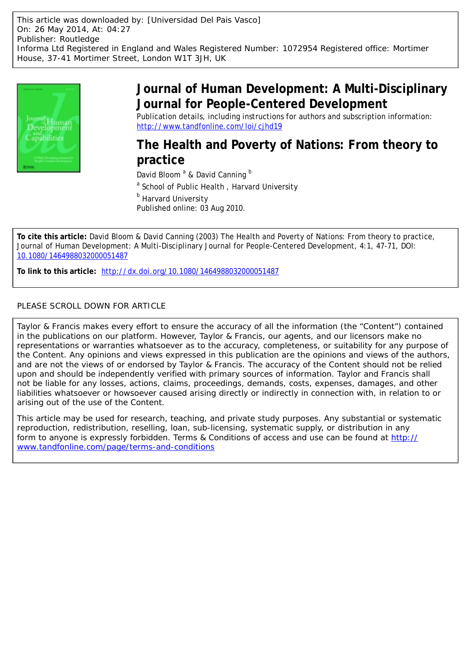

## **Journal of Human Development: A Multi-Disciplinary Journal for People-Centered Development**

Publication details, including instructions for authors and subscription information: <http://www.tandfonline.com/loi/cjhd19>

### **The Health and Poverty of Nations: From theory to practice**

David Bloom <sup>a</sup> & David Canning <sup>b</sup>

<sup>a</sup> School of Public Health, Harvard University

**b** Harvard University

Published online: 03 Aug 2010.

**To cite this article:** David Bloom & David Canning (2003) The Health and Poverty of Nations: From theory to practice, Journal of Human Development: A Multi-Disciplinary Journal for People-Centered Development, 4:1, 47-71, DOI: [10.1080/1464988032000051487](http://www.tandfonline.com/action/showCitFormats?doi=10.1080/1464988032000051487)

**To link to this article:** <http://dx.doi.org/10.1080/1464988032000051487>

### PLEASE SCROLL DOWN FOR ARTICLE

Taylor & Francis makes every effort to ensure the accuracy of all the information (the "Content") contained in the publications on our platform. However, Taylor & Francis, our agents, and our licensors make no representations or warranties whatsoever as to the accuracy, completeness, or suitability for any purpose of the Content. Any opinions and views expressed in this publication are the opinions and views of the authors, and are not the views of or endorsed by Taylor & Francis. The accuracy of the Content should not be relied upon and should be independently verified with primary sources of information. Taylor and Francis shall not be liable for any losses, actions, claims, proceedings, demands, costs, expenses, damages, and other liabilities whatsoever or howsoever caused arising directly or indirectly in connection with, in relation to or arising out of the use of the Content.

This article may be used for research, teaching, and private study purposes. Any substantial or systematic reproduction, redistribution, reselling, loan, sub-licensing, systematic supply, or distribution in any form to anyone is expressly forbidden. Terms & Conditions of access and use can be found at [http://](http://www.tandfonline.com/page/terms-and-conditions) [www.tandfonline.com/page/terms-and-conditions](http://www.tandfonline.com/page/terms-and-conditions)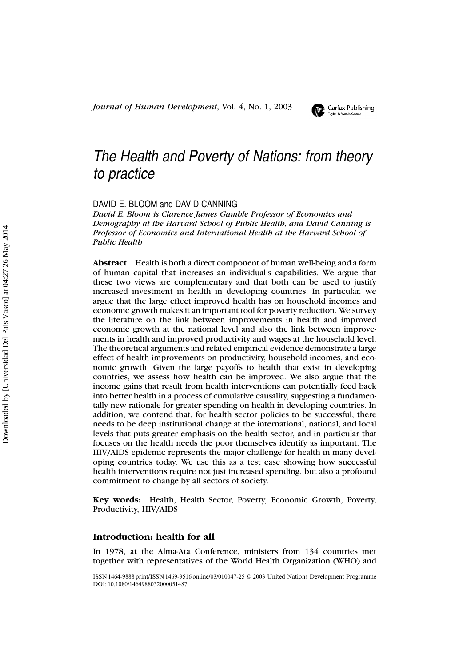

# The Health and Poverty of Nations: from theory to practice

DAVID E. BLOOM and DAVID CANNING

*David E. Bloom is Clarence James Gamble Professor of Economics and Demography at the Harvard School of Public Health, and David Canning is Professor of Economics and International Health at the Harvard School of Public Health*

**Abstract** Health is both a direct component of human well-being and a form of human capital that increases an individual's capabilities. We argue that these two views are complementary and that both can be used to justify increased investment in health in developing countries. In particular, we argue that the large effect improved health has on household incomes and economic growth makes it an important tool for poverty reduction. We survey the literature on the link between improvements in health and improved economic growth at the national level and also the link between improvements in health and improved productivity and wages at the household level. The theoretical arguments and related empirical evidence demonstrate a large effect of health improvements on productivity, household incomes, and economic growth. Given the large payoffs to health that exist in developing countries, we assess how health can be improved. We also argue that the income gains that result from health interventions can potentially feed back into better health in a process of cumulative causality, suggesting a fundamentally new rationale for greater spending on health in developing countries. In addition, we contend that, for health sector policies to be successful, there needs to be deep institutional change at the international, national, and local levels that puts greater emphasis on the health sector, and in particular that focuses on the health needs the poor themselves identify as important. The HIV/AIDS epidemic represents the major challenge for health in many developing countries today. We use this as a test case showing how successful health interventions require not just increased spending, but also a profound commitment to change by all sectors of society.

**Key words:** Health, Health Sector, Poverty, Economic Growth, Poverty, Productivity, HIV/AIDS

#### **Introduction: health for all**

In 1978, at the Alma-Ata Conference, ministers from 134 countries met together with representatives of the World Health Organization (WHO) and

ISSN 1464-9888 print/ISSN 1469-9516 online/03/010047-25 © 2003 United Nations Development Programme DOI: 10.1080/1464988032000051487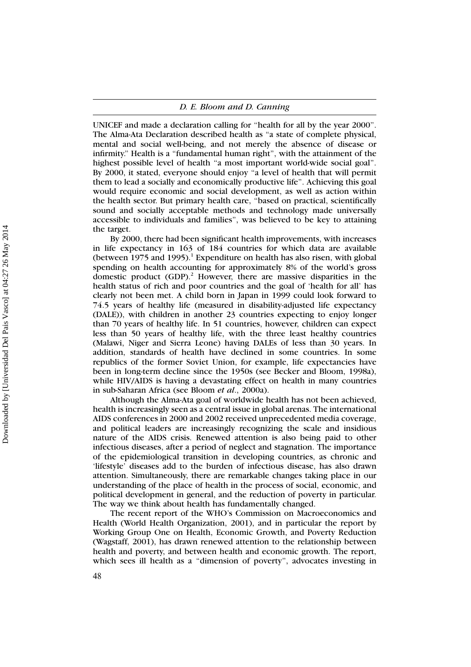UNICEF and made a declaration calling for ''health for all by the year 2000''. The Alma-Ata Declaration described health as ''a state of complete physical, mental and social well-being, and not merely the absence of disease or infirmity.'' Health is a ''fundamental human right'', with the attainment of the highest possible level of health ''a most important world-wide social goal''. By 2000, it stated, everyone should enjoy "a level of health that will permit them to lead a socially and economically productive life''. Achieving this goal would require economic and social development, as well as action within the health sector. But primary health care, ''based on practical, scientifically sound and socially acceptable methods and technology made universally accessible to individuals and families'', was believed to be key to attaining the target.

By 2000, there had been significant health improvements, with increases in life expectancy in 163 of 184 countries for which data are available (between 1975 and 1995).<sup>1</sup> Expenditure on health has also risen, with global spending on health accounting for approximately 8% of the world's gross domestic product (GDP).<sup>2</sup> However, there are massive disparities in the health status of rich and poor countries and the goal of 'health for all' has clearly not been met. A child born in Japan in 1999 could look forward to 74.5 years of healthy life (measured in disability-adjusted life expectancy (DALE)), with children in another 23 countries expecting to enjoy longer than 70 years of healthy life. In 51 countries, however, children can expect less than 50 years of healthy life, with the three least healthy countries (Malawi, Niger and Sierra Leone) having DALEs of less than 30 years. In addition, standards of health have declined in some countries. In some republics of the former Soviet Union, for example, life expectancies have been in long-term decline since the 1950s (see Becker and Bloom, 1998a), while HIV/AIDS is having a devastating effect on health in many countries in sub-Saharan Africa (see Bloom *et al*., 2000a).

Although the Alma-Ata goal of worldwide health has not been achieved, health is increasingly seen as a central issue in global arenas. The international AIDS conferences in 2000 and 2002 received unprecedented media coverage, and political leaders are increasingly recognizing the scale and insidious nature of the AIDS crisis. Renewed attention is also being paid to other infectious diseases, after a period of neglect and stagnation. The importance of the epidemiological transition in developing countries, as chronic and 'lifestyle' diseases add to the burden of infectious disease, has also drawn attention. Simultaneously, there are remarkable changes taking place in our understanding of the place of health in the process of social, economic, and political development in general, and the reduction of poverty in particular. The way we think about health has fundamentally changed.

The recent report of the WHO's Commission on Macroeconomics and Health (World Health Organization, 2001), and in particular the report by Working Group One on Health, Economic Growth, and Poverty Reduction (Wagstaff, 2001), has drawn renewed attention to the relationship between health and poverty, and between health and economic growth. The report, which sees ill health as a ''dimension of poverty'', advocates investing in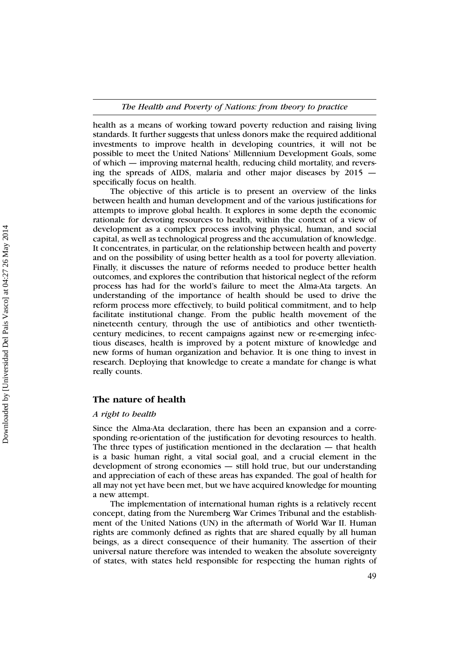health as a means of working toward poverty reduction and raising living standards. It further suggests that unless donors make the required additional investments to improve health in developing countries, it will not be possible to meet the United Nations' Millennium Development Goals, some of which — improving maternal health, reducing child mortality, and reversing the spreads of AIDS, malaria and other major diseases by 2015 specifically focus on health.

The objective of this article is to present an overview of the links between health and human development and of the various justifications for attempts to improve global health. It explores in some depth the economic rationale for devoting resources to health, within the context of a view of development as a complex process involving physical, human, and social capital, as well as technological progress and the accumulation of knowledge. It concentrates, in particular, on the relationship between health and poverty and on the possibility of using better health as a tool for poverty alleviation. Finally, it discusses the nature of reforms needed to produce better health outcomes, and explores the contribution that historical neglect of the reform process has had for the world's failure to meet the Alma-Ata targets. An understanding of the importance of health should be used to drive the reform process more effectively, to build political commitment, and to help facilitate institutional change. From the public health movement of the nineteenth century, through the use of antibiotics and other twentiethcentury medicines, to recent campaigns against new or re-emerging infectious diseases, health is improved by a potent mixture of knowledge and new forms of human organization and behavior. It is one thing to invest in research. Deploying that knowledge to create a mandate for change is what really counts.

#### **The nature of health**

#### *A right to health*

Since the Alma-Ata declaration, there has been an expansion and a corresponding re-orientation of the justification for devoting resources to health. The three types of justification mentioned in the declaration — that health is a basic human right, a vital social goal, and a crucial element in the development of strong economies — still hold true, but our understanding and appreciation of each of these areas has expanded. The goal of health for all may not yet have been met, but we have acquired knowledge for mounting a new attempt.

The implementation of international human rights is a relatively recent concept, dating from the Nuremberg War Crimes Tribunal and the establishment of the United Nations (UN) in the aftermath of World War II. Human rights are commonly defined as rights that are shared equally by all human beings, as a direct consequence of their humanity. The assertion of their universal nature therefore was intended to weaken the absolute sovereignty of states, with states held responsible for respecting the human rights of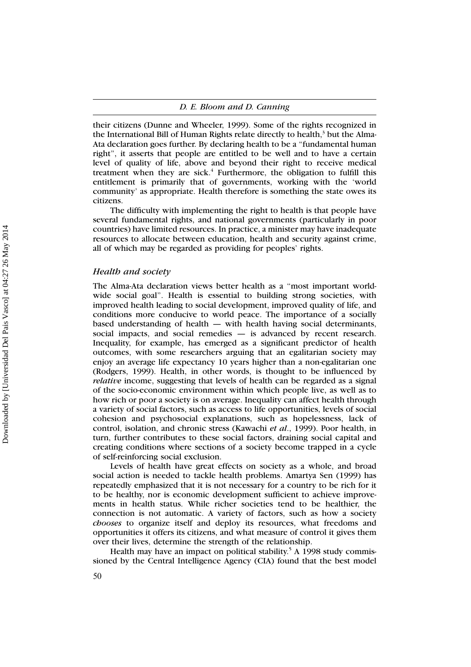their citizens (Dunne and Wheeler, 1999). Some of the rights recognized in the International Bill of Human Rights relate directly to health, $3$  but the Alma-Ata declaration goes further. By declaring health to be a ''fundamental human right'', it asserts that people are entitled to be well and to have a certain level of quality of life, above and beyond their right to receive medical treatment when they are sick. $4$  Furthermore, the obligation to fulfill this entitlement is primarily that of governments, working with the 'world community' as appropriate. Health therefore is something the state owes its citizens.

The difficulty with implementing the right to health is that people have several fundamental rights, and national governments (particularly in poor countries) have limited resources. In practice, a minister may have inadequate resources to allocate between education, health and security against crime, all of which may be regarded as providing for peoples' rights.

#### *Health and society*

The Alma-Ata declaration views better health as a ''most important worldwide social goal''. Health is essential to building strong societies, with improved health leading to social development, improved quality of life, and conditions more conducive to world peace. The importance of a socially based understanding of health — with health having social determinants, social impacts, and social remedies — is advanced by recent research. Inequality, for example, has emerged as a significant predictor of health outcomes, with some researchers arguing that an egalitarian society may enjoy an average life expectancy 10 years higher than a non-egalitarian one (Rodgers, 1999). Health, in other words, is thought to be influenced by *relative* income, suggesting that levels of health can be regarded as a signal of the socio-economic environment within which people live, as well as to how rich or poor a society is on average. Inequality can affect health through a variety of social factors, such as access to life opportunities, levels of social cohesion and psychosocial explanations, such as hopelessness, lack of control, isolation, and chronic stress (Kawachi *et al*., 1999). Poor health, in turn, further contributes to these social factors, draining social capital and creating conditions where sections of a society become trapped in a cycle of self-reinforcing social exclusion.

Levels of health have great effects on society as a whole, and broad social action is needed to tackle health problems. Amartya Sen (1999) has repeatedly emphasized that it is not necessary for a country to be rich for it to be healthy, nor is economic development sufficient to achieve improvements in health status. While richer societies tend to be healthier, the connection is not automatic. A variety of factors, such as how a society *chooses* to organize itself and deploy its resources, what freedoms and opportunities it offers its citizens, and what measure of control it gives them over their lives, determine the strength of the relationship.

Health may have an impact on political stability.<sup>5</sup> A 1998 study commissioned by the Central Intelligence Agency (CIA) found that the best model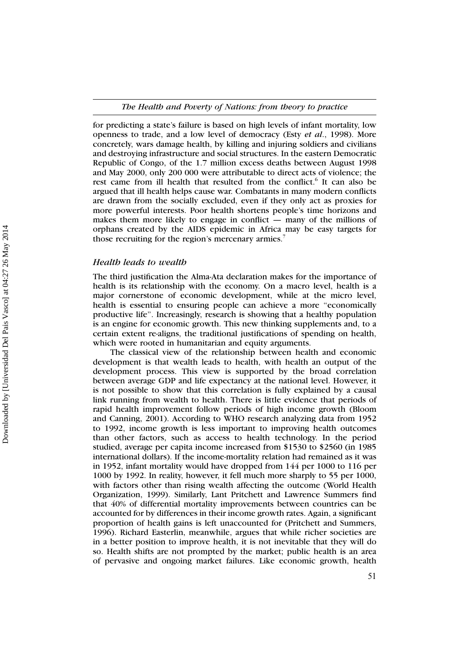*The Health and Poverty of Nations: from theory to practice*

for predicting a state's failure is based on high levels of infant mortality, low openness to trade, and a low level of democracy (Esty *et al*., 1998). More concretely, wars damage health, by killing and injuring soldiers and civilians and destroying infrastructure and social structures. In the eastern Democratic Republic of Congo, of the 1.7 million excess deaths between August 1998 and May 2000, only 200 000 were attributable to direct acts of violence; the rest came from ill health that resulted from the conflict.<sup>6</sup> It can also be argued that ill health helps cause war. Combatants in many modern conflicts are drawn from the socially excluded, even if they only act as proxies for more powerful interests. Poor health shortens people's time horizons and makes them more likely to engage in conflict — many of the millions of orphans created by the AIDS epidemic in Africa may be easy targets for those recruiting for the region's mercenary armies.<sup>7</sup>

#### *Health leads to wealth*

The third justification the Alma-Ata declaration makes for the importance of health is its relationship with the economy. On a macro level, health is a major cornerstone of economic development, while at the micro level, health is essential to ensuring people can achieve a more ''economically productive life''. Increasingly, research is showing that a healthy population is an engine for economic growth. This new thinking supplements and, to a certain extent re-aligns, the traditional justifications of spending on health, which were rooted in humanitarian and equity arguments.

The classical view of the relationship between health and economic development is that wealth leads to health, with health an output of the development process. This view is supported by the broad correlation between average GDP and life expectancy at the national level. However, it is not possible to show that this correlation is fully explained by a causal link running from wealth to health. There is little evidence that periods of rapid health improvement follow periods of high income growth (Bloom and Canning, 2001). According to WHO research analyzing data from 1952 to 1992, income growth is less important to improving health outcomes than other factors, such as access to health technology. In the period studied, average per capita income increased from \$1530 to \$2560 (in 1985 international dollars). If the income-mortality relation had remained as it was in 1952, infant mortality would have dropped from 144 per 1000 to 116 per 1000 by 1992. In reality, however, it fell much more sharply to 55 per 1000, with factors other than rising wealth affecting the outcome (World Health Organization, 1999). Similarly, Lant Pritchett and Lawrence Summers find that 40% of differential mortality improvements between countries can be accounted for by differences in their income growth rates. Again, a significant proportion of health gains is left unaccounted for (Pritchett and Summers, 1996). Richard Easterlin, meanwhile, argues that while richer societies are in a better position to improve health, it is not inevitable that they will do so. Health shifts are not prompted by the market; public health is an area of pervasive and ongoing market failures. Like economic growth, health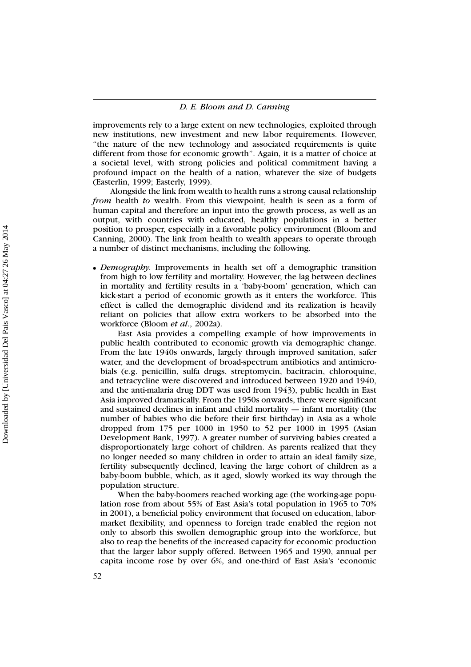improvements rely to a large extent on new technologies, exploited through new institutions, new investment and new labor requirements. However, ''the nature of the new technology and associated requirements is quite different from those for economic growth''. Again, it is a matter of choice at a societal level, with strong policies and political commitment having a profound impact on the health of a nation, whatever the size of budgets (Easterlin, 1999; Easterly, 1999).

Alongside the link from wealth to health runs a strong causal relationship *from* health *to* wealth. From this viewpoint, health is seen as a form of human capital and therefore an input into the growth process, as well as an output, with countries with educated, healthy populations in a better position to prosper, especially in a favorable policy environment (Bloom and Canning, 2000). The link from health to wealth appears to operate through a number of distinct mechanisms, including the following.

Ω *Demography*. Improvements in health set off a demographic transition from high to low fertility and mortality. However, the lag between declines in mortality and fertility results in a 'baby-boom' generation, which can kick-start a period of economic growth as it enters the workforce. This effect is called the demographic dividend and its realization is heavily reliant on policies that allow extra workers to be absorbed into the workforce (Bloom *et al*., 2002a).

East Asia provides a compelling example of how improvements in public health contributed to economic growth via demographic change. From the late 1940s onwards, largely through improved sanitation, safer water, and the development of broad-spectrum antibiotics and antimicrobials (e.g. penicillin, sulfa drugs, streptomycin, bacitracin, chloroquine, and tetracycline were discovered and introduced between 1920 and 1940, and the anti-malaria drug DDT was used from 1943), public health in East Asia improved dramatically. From the 1950s onwards, there were significant and sustained declines in infant and child mortality — infant mortality (the number of babies who die before their first birthday) in Asia as a whole dropped from 175 per 1000 in 1950 to 52 per 1000 in 1995 (Asian Development Bank, 1997). A greater number of surviving babies created a disproportionately large cohort of children. As parents realized that they no longer needed so many children in order to attain an ideal family size, fertility subsequently declined, leaving the large cohort of children as a baby-boom bubble, which, as it aged, slowly worked its way through the population structure.

When the baby-boomers reached working age (the working-age population rose from about 55% of East Asia's total population in 1965 to 70% in 2001), a beneficial policy environment that focused on education, labormarket flexibility, and openness to foreign trade enabled the region not only to absorb this swollen demographic group into the workforce, but also to reap the benefits of the increased capacity for economic production that the larger labor supply offered. Between 1965 and 1990, annual per capita income rose by over 6%, and one-third of East Asia's 'economic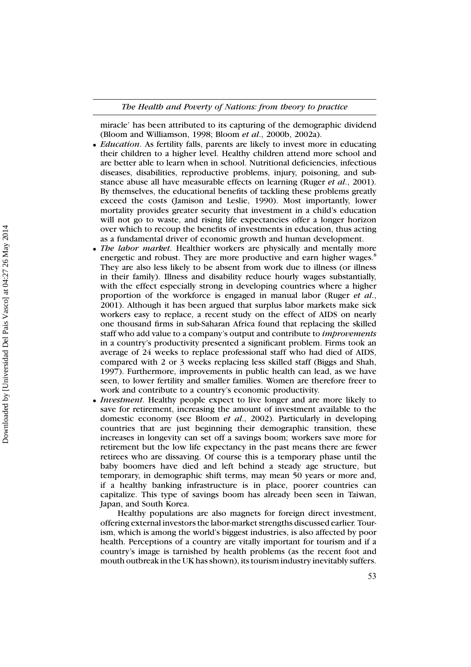miracle' has been attributed to its capturing of the demographic dividend (Bloom and Williamson, 1998; Bloom *et al*., 2000b, 2002a).

- Ω *Education*. As fertility falls, parents are likely to invest more in educating their children to a higher level. Healthy children attend more school and are better able to learn when in school. Nutritional deficiencies, infectious diseases, disabilities, reproductive problems, injury, poisoning, and substance abuse all have measurable effects on learning (Ruger *et al*., 2001). By themselves, the educational benefits of tackling these problems greatly exceed the costs (Jamison and Leslie, 1990). Most importantly, lower mortality provides greater security that investment in a child's education will not go to waste, and rising life expectancies offer a longer horizon over which to recoup the benefits of investments in education, thus acting as a fundamental driver of economic growth and human development.
- Ω *The labor market*. Healthier workers are physically and mentally more energetic and robust. They are more productive and earn higher wages.<sup>8</sup> They are also less likely to be absent from work due to illness (or illness in their family). Illness and disability reduce hourly wages substantially, with the effect especially strong in developing countries where a higher proportion of the workforce is engaged in manual labor (Ruger *et al*., 2001). Although it has been argued that surplus labor markets make sick workers easy to replace, a recent study on the effect of AIDS on nearly one thousand firms in sub-Saharan Africa found that replacing the skilled staff who add value to a company's output and contribute to *improvements* in a country's productivity presented a significant problem. Firms took an average of 24 weeks to replace professional staff who had died of AIDS, compared with 2 or 3 weeks replacing less skilled staff (Biggs and Shah, 1997). Furthermore, improvements in public health can lead, as we have seen, to lower fertility and smaller families. Women are therefore freer to work and contribute to a country's economic productivity.
- *Investment*. Healthy people expect to live longer and are more likely to save for retirement, increasing the amount of investment available to the domestic economy (see Bloom *et al*., 2002). Particularly in developing countries that are just beginning their demographic transition, these increases in longevity can set off a savings boom; workers save more for retirement but the low life expectancy in the past means there are fewer retirees who are dissaving. Of course this is a temporary phase until the baby boomers have died and left behind a steady age structure, but temporary, in demographic shift terms, may mean 50 years or more and, if a healthy banking infrastructure is in place, poorer countries can capitalize. This type of savings boom has already been seen in Taiwan, Japan, and South Korea.

Healthy populations are also magnets for foreign direct investment, offering external investors the labor-market strengths discussed earlier. Tourism, which is among the world's biggest industries, is also affected by poor health. Perceptions of a country are vitally important for tourism and if a country's image is tarnished by health problems (as the recent foot and mouth outbreak in the UK has shown), its tourism industry inevitably suffers.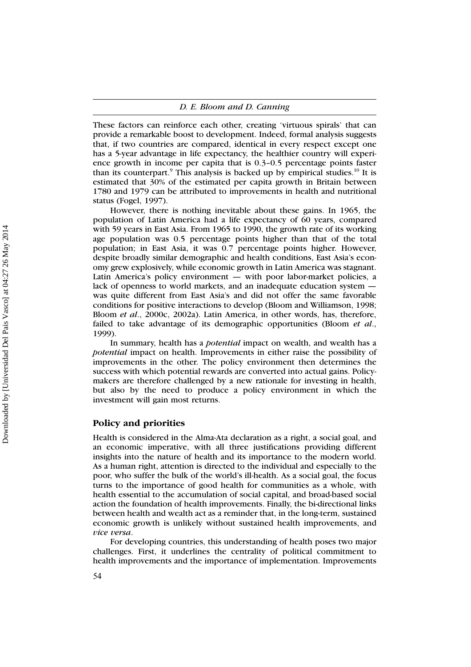These factors can reinforce each other, creating 'virtuous spirals' that can provide a remarkable boost to development. Indeed, formal analysis suggests that, if two countries are compared, identical in every respect except one has a 5-year advantage in life expectancy, the healthier country will experience growth in income per capita that is 0.3–0.5 percentage points faster than its counterpart.<sup>9</sup> This analysis is backed up by empirical studies.<sup>10</sup> It is estimated that 30% of the estimated per capita growth in Britain between 1780 and 1979 can be attributed to improvements in health and nutritional status (Fogel, 1997).

However, there is nothing inevitable about these gains. In 1965, the population of Latin America had a life expectancy of 60 years, compared with 59 years in East Asia. From 1965 to 1990, the growth rate of its working age population was 0.5 percentage points higher than that of the total population; in East Asia, it was 0.7 percentage points higher. However, despite broadly similar demographic and health conditions, East Asia's economy grew explosively, while economic growth in Latin America was stagnant. Latin America's policy environment — with poor labor-market policies, a lack of openness to world markets, and an inadequate education system was quite different from East Asia's and did not offer the same favorable conditions for positive interactions to develop (Bloom and Williamson, 1998; Bloom *et al*., 2000c, 2002a). Latin America, in other words, has, therefore, failed to take advantage of its demographic opportunities (Bloom *et al*., 1999).

In summary, health has a *potential* impact on wealth, and wealth has a *potential* impact on health. Improvements in either raise the possibility of improvements in the other. The policy environment then determines the success with which potential rewards are converted into actual gains. Policymakers are therefore challenged by a new rationale for investing in health, but also by the need to produce a policy environment in which the investment will gain most returns.

#### **Policy and priorities**

Health is considered in the Alma-Ata declaration as a right, a social goal, and an economic imperative, with all three justifications providing different insights into the nature of health and its importance to the modern world. As a human right, attention is directed to the individual and especially to the poor, who suffer the bulk of the world's ill-health. As a social goal, the focus turns to the importance of good health for communities as a whole, with health essential to the accumulation of social capital, and broad-based social action the foundation of health improvements. Finally, the bi-directional links between health and wealth act as a reminder that, in the long-term, sustained economic growth is unlikely without sustained health improvements, and *vice versa*.

For developing countries, this understanding of health poses two major challenges. First, it underlines the centrality of political commitment to health improvements and the importance of implementation. Improvements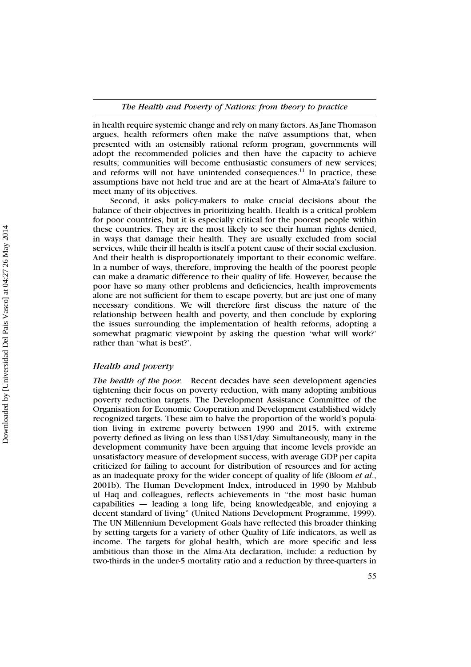in health require systemic change and rely on many factors. As Jane Thomason argues, health reformers often make the naïve assumptions that, when presented with an ostensibly rational reform program, governments will adopt the recommended policies and then have the capacity to achieve results; communities will become enthusiastic consumers of new services; and reforms will not have unintended consequences.<sup>11</sup> In practice, these assumptions have not held true and are at the heart of Alma-Ata's failure to meet many of its objectives.

Second, it asks policy-makers to make crucial decisions about the balance of their objectives in prioritizing health. Health is a critical problem for poor countries, but it is especially critical for the poorest people within these countries. They are the most likely to see their human rights denied, in ways that damage their health. They are usually excluded from social services, while their ill health is itself a potent cause of their social exclusion. And their health is disproportionately important to their economic welfare. In a number of ways, therefore, improving the health of the poorest people can make a dramatic difference to their quality of life. However, because the poor have so many other problems and deficiencies, health improvements alone are not sufficient for them to escape poverty, but are just one of many necessary conditions. We will therefore first discuss the nature of the relationship between health and poverty, and then conclude by exploring the issues surrounding the implementation of health reforms, adopting a somewhat pragmatic viewpoint by asking the question 'what will work?' rather than 'what is best?'.

#### *Health and poverty*

*The health of the poor*. Recent decades have seen development agencies tightening their focus on poverty reduction, with many adopting ambitious poverty reduction targets. The Development Assistance Committee of the Organisation for Economic Cooperation and Development established widely recognized targets. These aim to halve the proportion of the world's population living in extreme poverty between 1990 and 2015, with extreme poverty defined as living on less than US\$1/day. Simultaneously, many in the development community have been arguing that income levels provide an unsatisfactory measure of development success, with average GDP per capita criticized for failing to account for distribution of resources and for acting as an inadequate proxy for the wider concept of quality of life (Bloom *et al*., 2001b). The Human Development Index, introduced in 1990 by Mahbub ul Haq and colleagues, reflects achievements in ''the most basic human capabilities — leading a long life, being knowledgeable, and enjoying a decent standard of living'' (United Nations Development Programme, 1999). The UN Millennium Development Goals have reflected this broader thinking by setting targets for a variety of other Quality of Life indicators, as well as income. The targets for global health, which are more specific and less ambitious than those in the Alma-Ata declaration, include: a reduction by two-thirds in the under-5 mortality ratio and a reduction by three-quarters in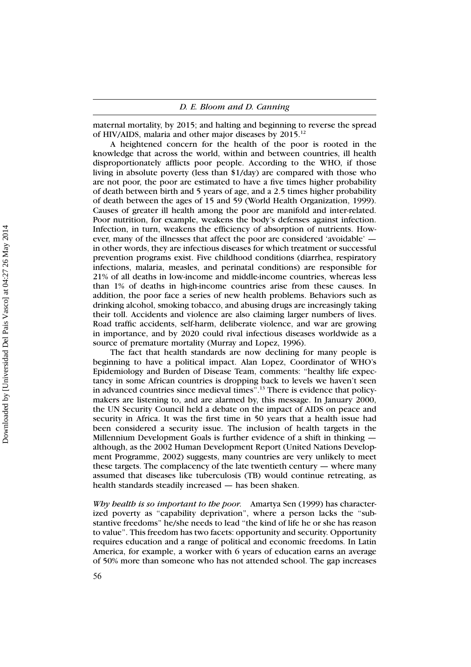maternal mortality, by 2015; and halting and beginning to reverse the spread of HIV/AIDS, malaria and other major diseases by 2015.12

A heightened concern for the health of the poor is rooted in the knowledge that across the world, within and between countries, ill health disproportionately afflicts poor people. According to the WHO, if those living in absolute poverty (less than \$1/day) are compared with those who are not poor, the poor are estimated to have a five times higher probability of death between birth and 5 years of age, and a 2.5 times higher probability of death between the ages of 15 and 59 (World Health Organization, 1999). Causes of greater ill health among the poor are manifold and inter-related. Poor nutrition, for example, weakens the body's defenses against infection. Infection, in turn, weakens the efficiency of absorption of nutrients. However, many of the illnesses that affect the poor are considered 'avoidable' in other words, they are infectious diseases for which treatment or successful prevention programs exist. Five childhood conditions (diarrhea, respiratory infections, malaria, measles, and perinatal conditions) are responsible for 21% of all deaths in low-income and middle-income countries, whereas less than 1% of deaths in high-income countries arise from these causes. In addition, the poor face a series of new health problems. Behaviors such as drinking alcohol, smoking tobacco, and abusing drugs are increasingly taking their toll. Accidents and violence are also claiming larger numbers of lives. Road traffic accidents, self-harm, deliberate violence, and war are growing in importance, and by 2020 could rival infectious diseases worldwide as a source of premature mortality (Murray and Lopez, 1996).

The fact that health standards are now declining for many people is beginning to have a political impact. Alan Lopez, Coordinator of WHO's Epidemiology and Burden of Disease Team, comments: ''healthy life expectancy in some African countries is dropping back to levels we haven't seen in advanced countries since medieval times''. <sup>13</sup> There is evidence that policymakers are listening to, and are alarmed by, this message. In January 2000, the UN Security Council held a debate on the impact of AIDS on peace and security in Africa. It was the first time in 50 years that a health issue had been considered a security issue. The inclusion of health targets in the Millennium Development Goals is further evidence of a shift in thinking although, as the 2002 Human Development Report (United Nations Development Programme, 2002) suggests, many countries are very unlikely to meet these targets. The complacency of the late twentieth century — where many assumed that diseases like tuberculosis (TB) would continue retreating, as health standards steadily increased — has been shaken.

*Why health is so important to the poor*. Amartya Sen (1999) has characterized poverty as "capability deprivation", where a person lacks the "substantive freedoms'' he/she needs to lead ''the kind of life he or she has reason to value''. This freedom has two facets: opportunity and security. Opportunity requires education and a range of political and economic freedoms. In Latin America, for example, a worker with 6 years of education earns an average of 50% more than someone who has not attended school. The gap increases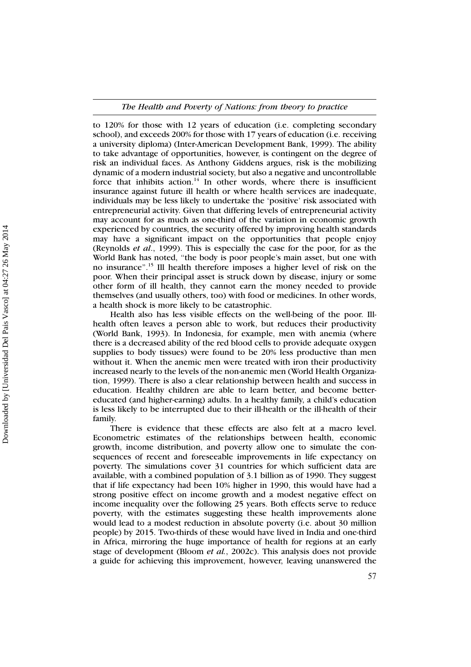to 120% for those with 12 years of education (i.e. completing secondary school), and exceeds 200% for those with 17 years of education (i.e. receiving a university diploma) (Inter-American Development Bank, 1999). The ability to take advantage of opportunities, however, is contingent on the degree of risk an individual faces. As Anthony Giddens argues, risk is the mobilizing dynamic of a modern industrial society, but also a negative and uncontrollable force that inhibits action.<sup>14</sup> In other words, where there is insufficient insurance against future ill health or where health services are inadequate, individuals may be less likely to undertake the 'positive' risk associated with entrepreneurial activity. Given that differing levels of entrepreneurial activity may account for as much as one-third of the variation in economic growth experienced by countries, the security offered by improving health standards may have a significant impact on the opportunities that people enjoy (Reynolds *et al*., 1999). This is especially the case for the poor, for as the World Bank has noted, ''the body is poor people's main asset, but one with no insurance''. <sup>15</sup> Ill health therefore imposes a higher level of risk on the poor. When their principal asset is struck down by disease, injury or some other form of ill health, they cannot earn the money needed to provide themselves (and usually others, too) with food or medicines. In other words, a health shock is more likely to be catastrophic.

Health also has less visible effects on the well-being of the poor. Illhealth often leaves a person able to work, but reduces their productivity (World Bank, 1993). In Indonesia, for example, men with anemia (where there is a decreased ability of the red blood cells to provide adequate oxygen supplies to body tissues) were found to be 20% less productive than men without it. When the anemic men were treated with iron their productivity increased nearly to the levels of the non-anemic men (World Health Organization, 1999). There is also a clear relationship between health and success in education. Healthy children are able to learn better, and become bettereducated (and higher-earning) adults. In a healthy family, a child's education is less likely to be interrupted due to their ill-health or the ill-health of their family.

There is evidence that these effects are also felt at a macro level. Econometric estimates of the relationships between health, economic growth, income distribution, and poverty allow one to simulate the consequences of recent and foreseeable improvements in life expectancy on poverty. The simulations cover 31 countries for which sufficient data are available, with a combined population of 3.1 billion as of 1990. They suggest that if life expectancy had been 10% higher in 1990, this would have had a strong positive effect on income growth and a modest negative effect on income inequality over the following 25 years. Both effects serve to reduce poverty, with the estimates suggesting these health improvements alone would lead to a modest reduction in absolute poverty (i.e. about 30 million people) by 2015. Two-thirds of these would have lived in India and one-third in Africa, mirroring the huge importance of health for regions at an early stage of development (Bloom *et al.*, 2002c). This analysis does not provide a guide for achieving this improvement, however, leaving unanswered the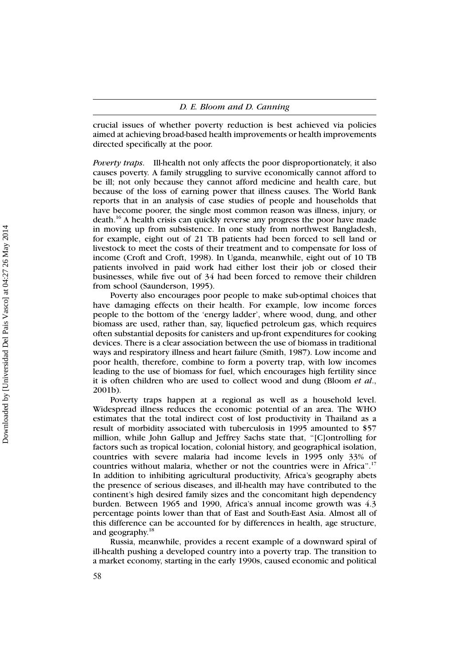crucial issues of whether poverty reduction is best achieved via policies aimed at achieving broad-based health improvements or health improvements directed specifically at the poor.

*Poverty traps*. Ill-health not only affects the poor disproportionately, it also causes poverty. A family struggling to survive economically cannot afford to be ill; not only because they cannot afford medicine and health care, but because of the loss of earning power that illness causes. The World Bank reports that in an analysis of case studies of people and households that have become poorer, the single most common reason was illness, injury, or death.16 A health crisis can quickly reverse any progress the poor have made in moving up from subsistence. In one study from northwest Bangladesh, for example, eight out of 21 TB patients had been forced to sell land or livestock to meet the costs of their treatment and to compensate for loss of income (Croft and Croft, 1998). In Uganda, meanwhile, eight out of 10 TB patients involved in paid work had either lost their job or closed their businesses, while five out of 34 had been forced to remove their children from school (Saunderson, 1995).

Poverty also encourages poor people to make sub-optimal choices that have damaging effects on their health. For example, low income forces people to the bottom of the 'energy ladder', where wood, dung, and other biomass are used, rather than, say, liquefied petroleum gas, which requires often substantial deposits for canisters and up-front expenditures for cooking devices. There is a clear association between the use of biomass in traditional ways and respiratory illness and heart failure (Smith, 1987). Low income and poor health, therefore, combine to form a poverty trap, with low incomes leading to the use of biomass for fuel, which encourages high fertility since it is often children who are used to collect wood and dung (Bloom *et al*., 2001b).

Poverty traps happen at a regional as well as a household level. Widespread illness reduces the economic potential of an area. The WHO estimates that the total indirect cost of lost productivity in Thailand as a result of morbidity associated with tuberculosis in 1995 amounted to \$57 million, while John Gallup and Jeffrey Sachs state that, ''[C]ontrolling for factors such as tropical location, colonial history, and geographical isolation, countries with severe malaria had income levels in 1995 only 33% of countries without malaria, whether or not the countries were in Africa".<sup>17</sup> In addition to inhibiting agricultural productivity, Africa's geography abets the presence of serious diseases, and ill-health may have contributed to the continent's high desired family sizes and the concomitant high dependency burden. Between 1965 and 1990, Africa's annual income growth was 4.3 percentage points lower than that of East and South-East Asia. Almost all of this difference can be accounted for by differences in health, age structure, and geography.<sup>18</sup>

Russia, meanwhile, provides a recent example of a downward spiral of ill-health pushing a developed country into a poverty trap. The transition to a market economy, starting in the early 1990s, caused economic and political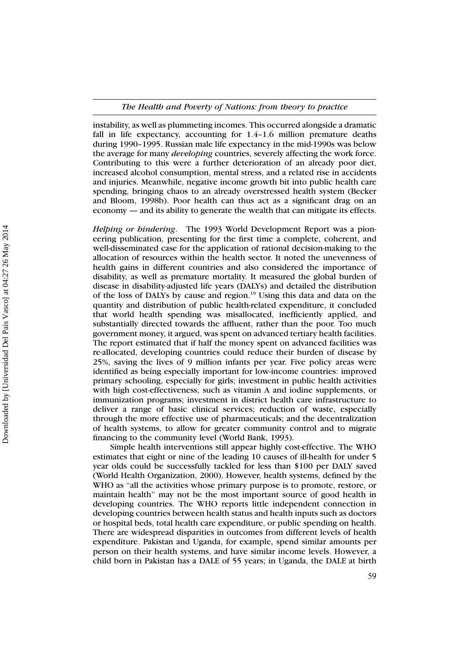instability, as well as plummeting incomes. This occurred alongside a dramatic fall in life expectancy, accounting for 1.4–1.6 million premature deaths during 1990–1995. Russian male life expectancy in the mid-1990s was below the average for many *developing* countries, severely affecting the work force. Contributing to this were a further deterioration of an already poor diet, increased alcohol consumption, mental stress, and a related rise in accidents and injuries. Meanwhile, negative income growth bit into public health care spending, bringing chaos to an already overstressed health system (Becker and Bloom, 1998b). Poor health can thus act as a significant drag on an economy — and its ability to generate the wealth that can mitigate its effects.

*Helping or hindering*. The 1993 World Development Report was a pioneering publication, presenting for the first time a complete, coherent, and well-disseminated case for the application of rational decision-making to the allocation of resources within the health sector. It noted the unevenness of health gains in different countries and also considered the importance of disability, as well as premature mortality. It measured the global burden of disease in disability-adjusted life years (DALYs) and detailed the distribution of the loss of DALYs by cause and region.19 Using this data and data on the quantity and distribution of public health-related expenditure, it concluded that world health spending was misallocated, inefficiently applied, and substantially directed towards the affluent, rather than the poor. Too much government money, it argued, was spent on advanced tertiary health facilities. The report estimated that if half the money spent on advanced facilities was re-allocated, developing countries could reduce their burden of disease by 25%, saving the lives of 9 million infants per year. Five policy areas were identified as being especially important for low-income countries: improved primary schooling, especially for girls; investment in public health activities with high cost-effectiveness, such as vitamin A and iodine supplements, or immunization programs; investment in district health care infrastructure to deliver a range of basic clinical services; reduction of waste, especially through the more effective use of pharmaceuticals; and the decentralization of health systems, to allow for greater community control and to migrate financing to the community level (World Bank, 1993).

Simple health interventions still appear highly cost-effective. The WHO estimates that eight or nine of the leading 10 causes of ill-health for under 5 year olds could be successfully tackled for less than \$100 per DALY saved (World Health Organization, 2000). However, health systems, defined by the WHO as "all the activities whose primary purpose is to promote, restore, or maintain health'' may not be the most important source of good health in developing countries. The WHO reports little independent connection in developing countries between health status and health inputs such as doctors or hospital beds, total health care expenditure, or public spending on health. There are widespread disparities in outcomes from different levels of health expenditure. Pakistan and Uganda, for example, spend similar amounts per person on their health systems, and have similar income levels. However, a child born in Pakistan has a DALE of 55 years; in Uganda, the DALE at birth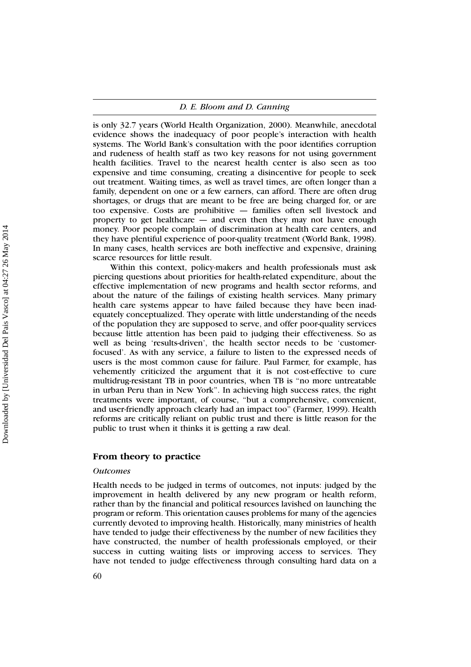is only 32.7 years (World Health Organization, 2000). Meanwhile, anecdotal evidence shows the inadequacy of poor people's interaction with health systems. The World Bank's consultation with the poor identifies corruption and rudeness of health staff as two key reasons for not using government health facilities. Travel to the nearest health center is also seen as too expensive and time consuming, creating a disincentive for people to seek out treatment. Waiting times, as well as travel times, are often longer than a family, dependent on one or a few earners, can afford. There are often drug shortages, or drugs that are meant to be free are being charged for, or are too expensive. Costs are prohibitive — families often sell livestock and property to get healthcare — and even then they may not have enough money. Poor people complain of discrimination at health care centers, and they have plentiful experience of poor-quality treatment (World Bank, 1998). In many cases, health services are both ineffective and expensive, draining scarce resources for little result.

Within this context, policy-makers and health professionals must ask piercing questions about priorities for health-related expenditure, about the effective implementation of new programs and health sector reforms, and about the nature of the failings of existing health services. Many primary health care systems appear to have failed because they have been inadequately conceptualized. They operate with little understanding of the needs of the population they are supposed to serve, and offer poor-quality services because little attention has been paid to judging their effectiveness. So as well as being 'results-driven', the health sector needs to be 'customerfocused'. As with any service, a failure to listen to the expressed needs of users is the most common cause for failure. Paul Farmer, for example, has vehemently criticized the argument that it is not cost-effective to cure multidrug-resistant TB in poor countries, when TB is ''no more untreatable in urban Peru than in New York''. In achieving high success rates, the right treatments were important, of course, ''but a comprehensive, convenient, and user-friendly approach clearly had an impact too'' (Farmer, 1999). Health reforms are critically reliant on public trust and there is little reason for the public to trust when it thinks it is getting a raw deal.

#### **From theory to practice**

#### *Outcomes*

Health needs to be judged in terms of outcomes, not inputs: judged by the improvement in health delivered by any new program or health reform, rather than by the financial and political resources lavished on launching the program or reform. This orientation causes problems for many of the agencies currently devoted to improving health. Historically, many ministries of health have tended to judge their effectiveness by the number of new facilities they have constructed, the number of health professionals employed, or their success in cutting waiting lists or improving access to services. They have not tended to judge effectiveness through consulting hard data on a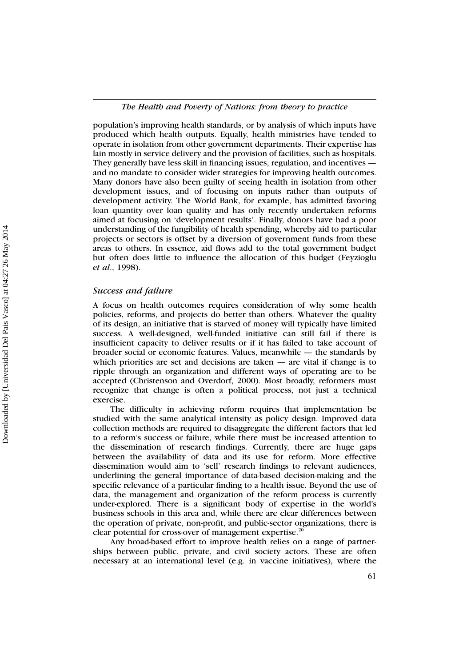population's improving health standards, or by analysis of which inputs have produced which health outputs. Equally, health ministries have tended to operate in isolation from other government departments. Their expertise has lain mostly in service delivery and the provision of facilities, such as hospitals. They generally have less skill in financing issues, regulation, and incentives and no mandate to consider wider strategies for improving health outcomes. Many donors have also been guilty of seeing health in isolation from other development issues, and of focusing on inputs rather than outputs of development activity. The World Bank, for example, has admitted favoring loan quantity over loan quality and has only recently undertaken reforms aimed at focusing on 'development results'. Finally, donors have had a poor understanding of the fungibility of health spending, whereby aid to particular projects or sectors is offset by a diversion of government funds from these areas to others. In essence, aid flows add to the total government budget but often does little to influence the allocation of this budget (Feyzioglu *et al*., 1998).

#### *Success and failure*

A focus on health outcomes requires consideration of why some health policies, reforms, and projects do better than others. Whatever the quality of its design, an initiative that is starved of money will typically have limited success. A well-designed, well-funded initiative can still fail if there is insufficient capacity to deliver results or if it has failed to take account of broader social or economic features. Values, meanwhile — the standards by which priorities are set and decisions are taken  $-$  are vital if change is to ripple through an organization and different ways of operating are to be accepted (Christenson and Overdorf, 2000). Most broadly, reformers must recognize that change is often a political process, not just a technical exercise.

The difficulty in achieving reform requires that implementation be studied with the same analytical intensity as policy design. Improved data collection methods are required to disaggregate the different factors that led to a reform's success or failure, while there must be increased attention to the dissemination of research findings. Currently, there are huge gaps between the availability of data and its use for reform. More effective dissemination would aim to 'sell' research findings to relevant audiences, underlining the general importance of data-based decision-making and the specific relevance of a particular finding to a health issue. Beyond the use of data, the management and organization of the reform process is currently under-explored. There is a significant body of expertise in the world's business schools in this area and, while there are clear differences between the operation of private, non-profit, and public-sector organizations, there is clear potential for cross-over of management expertise.<sup>20</sup>

Any broad-based effort to improve health relies on a range of partnerships between public, private, and civil society actors. These are often necessary at an international level (e.g. in vaccine initiatives), where the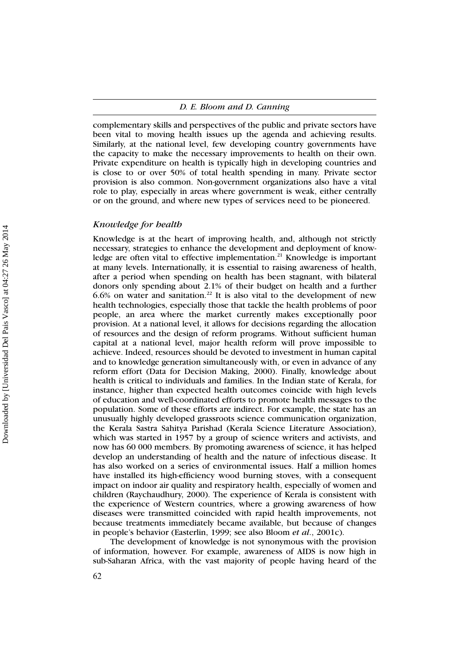complementary skills and perspectives of the public and private sectors have been vital to moving health issues up the agenda and achieving results. Similarly, at the national level, few developing country governments have the capacity to make the necessary improvements to health on their own. Private expenditure on health is typically high in developing countries and is close to or over 50% of total health spending in many. Private sector provision is also common. Non-government organizations also have a vital role to play, especially in areas where government is weak, either centrally or on the ground, and where new types of services need to be pioneered.

#### *Knowledge for health*

Knowledge is at the heart of improving health, and, although not strictly necessary, strategies to enhance the development and deployment of knowledge are often vital to effective implementation.<sup>21</sup> Knowledge is important at many levels. Internationally, it is essential to raising awareness of health, after a period when spending on health has been stagnant, with bilateral donors only spending about 2.1% of their budget on health and a further 6.6% on water and sanitation.<sup>22</sup> It is also vital to the development of new health technologies, especially those that tackle the health problems of poor people, an area where the market currently makes exceptionally poor provision. At a national level, it allows for decisions regarding the allocation of resources and the design of reform programs. Without sufficient human capital at a national level, major health reform will prove impossible to achieve. Indeed, resources should be devoted to investment in human capital and to knowledge generation simultaneously with, or even in advance of any reform effort (Data for Decision Making, 2000). Finally, knowledge about health is critical to individuals and families. In the Indian state of Kerala, for instance, higher than expected health outcomes coincide with high levels of education and well-coordinated efforts to promote health messages to the population. Some of these efforts are indirect. For example, the state has an unusually highly developed grassroots science communication organization, the Kerala Sastra Sahitya Parishad (Kerala Science Literature Association), which was started in 1957 by a group of science writers and activists, and now has 60 000 members. By promoting awareness of science, it has helped develop an understanding of health and the nature of infectious disease. It has also worked on a series of environmental issues. Half a million homes have installed its high-efficiency wood burning stoves, with a consequent impact on indoor air quality and respiratory health, especially of women and children (Raychaudhury, 2000). The experience of Kerala is consistent with the experience of Western countries, where a growing awareness of how diseases were transmitted coincided with rapid health improvements, not because treatments immediately became available, but because of changes in people's behavior (Easterlin, 1999; see also Bloom *et al*., 2001c).

The development of knowledge is not synonymous with the provision of information, however. For example, awareness of AIDS is now high in sub-Saharan Africa, with the vast majority of people having heard of the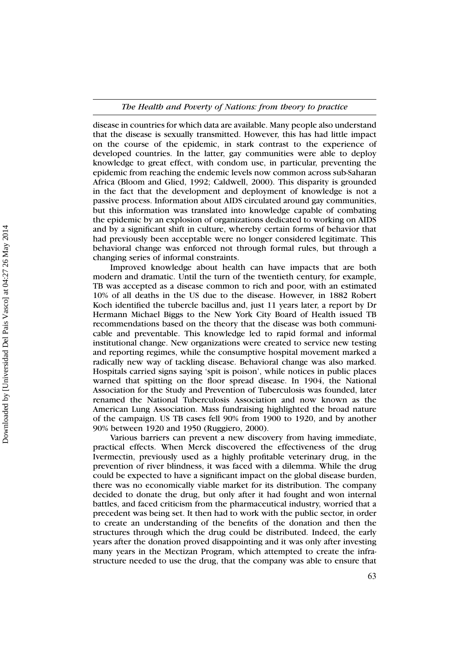*The Health and Poverty of Nations: from theory to practice*

disease in countries for which data are available. Many people also understand that the disease is sexually transmitted. However, this has had little impact on the course of the epidemic, in stark contrast to the experience of developed countries. In the latter, gay communities were able to deploy knowledge to great effect, with condom use, in particular, preventing the epidemic from reaching the endemic levels now common across sub-Saharan Africa (Bloom and Glied, 1992; Caldwell, 2000). This disparity is grounded in the fact that the development and deployment of knowledge is not a passive process. Information about AIDS circulated around gay communities, but this information was translated into knowledge capable of combating the epidemic by an explosion of organizations dedicated to working on AIDS and by a significant shift in culture, whereby certain forms of behavior that had previously been acceptable were no longer considered legitimate. This behavioral change was enforced not through formal rules, but through a changing series of informal constraints.

Improved knowledge about health can have impacts that are both modern and dramatic. Until the turn of the twentieth century, for example, TB was accepted as a disease common to rich and poor, with an estimated 10% of all deaths in the US due to the disease. However, in 1882 Robert Koch identified the tubercle bacillus and, just 11 years later, a report by Dr Hermann Michael Biggs to the New York City Board of Health issued TB recommendations based on the theory that the disease was both communicable and preventable. This knowledge led to rapid formal and informal institutional change. New organizations were created to service new testing and reporting regimes, while the consumptive hospital movement marked a radically new way of tackling disease. Behavioral change was also marked. Hospitals carried signs saying 'spit is poison', while notices in public places warned that spitting on the floor spread disease. In 1904, the National Association for the Study and Prevention of Tuberculosis was founded, later renamed the National Tuberculosis Association and now known as the American Lung Association. Mass fundraising highlighted the broad nature of the campaign. US TB cases fell 90% from 1900 to 1920, and by another 90% between 1920 and 1950 (Ruggiero, 2000).

Various barriers can prevent a new discovery from having immediate, practical effects. When Merck discovered the effectiveness of the drug Ivermectin, previously used as a highly profitable veterinary drug, in the prevention of river blindness, it was faced with a dilemma. While the drug could be expected to have a significant impact on the global disease burden, there was no economically viable market for its distribution. The company decided to donate the drug, but only after it had fought and won internal battles, and faced criticism from the pharmaceutical industry, worried that a precedent was being set. It then had to work with the public sector, in order to create an understanding of the benefits of the donation and then the structures through which the drug could be distributed. Indeed, the early years after the donation proved disappointing and it was only after investing many years in the Mectizan Program, which attempted to create the infrastructure needed to use the drug, that the company was able to ensure that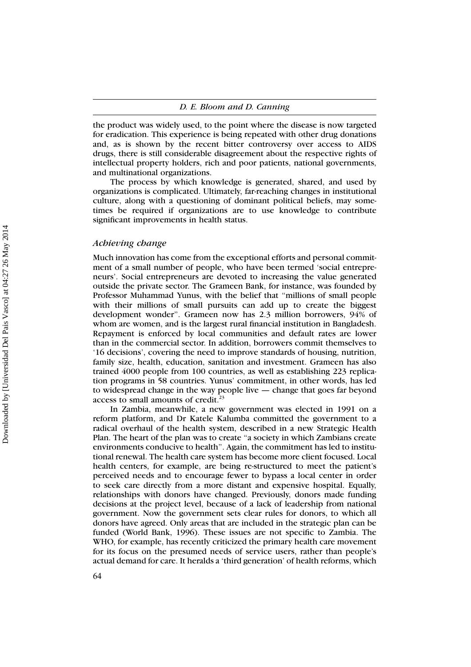the product was widely used, to the point where the disease is now targeted for eradication. This experience is being repeated with other drug donations and, as is shown by the recent bitter controversy over access to AIDS drugs, there is still considerable disagreement about the respective rights of intellectual property holders, rich and poor patients, national governments, and multinational organizations.

The process by which knowledge is generated, shared, and used by organizations is complicated. Ultimately, far-reaching changes in institutional culture, along with a questioning of dominant political beliefs, may sometimes be required if organizations are to use knowledge to contribute significant improvements in health status.

#### *Achieving change*

Much innovation has come from the exceptional efforts and personal commitment of a small number of people, who have been termed 'social entrepreneurs'. Social entrepreneurs are devoted to increasing the value generated outside the private sector. The Grameen Bank, for instance, was founded by Professor Muhammad Yunus, with the belief that ''millions of small people with their millions of small pursuits can add up to create the biggest development wonder''. Grameen now has 2.3 million borrowers, 94% of whom are women, and is the largest rural financial institution in Bangladesh. Repayment is enforced by local communities and default rates are lower than in the commercial sector. In addition, borrowers commit themselves to '16 decisions', covering the need to improve standards of housing, nutrition, family size, health, education, sanitation and investment. Grameen has also trained 4000 people from 100 countries, as well as establishing 223 replication programs in 58 countries. Yunus' commitment, in other words, has led to widespread change in the way people live — change that goes far beyond access to small amounts of credit.<sup>23</sup>

In Zambia, meanwhile, a new government was elected in 1991 on a reform platform, and Dr Katele Kalumba committed the government to a radical overhaul of the health system, described in a new Strategic Health Plan. The heart of the plan was to create ''a society in which Zambians create environments conducive to health''. Again, the commitment has led to institutional renewal. The health care system has become more client focused. Local health centers, for example, are being re-structured to meet the patient's perceived needs and to encourage fewer to bypass a local center in order to seek care directly from a more distant and expensive hospital. Equally, relationships with donors have changed. Previously, donors made funding decisions at the project level, because of a lack of leadership from national government. Now the government sets clear rules for donors, to which all donors have agreed. Only areas that are included in the strategic plan can be funded (World Bank, 1996). These issues are not specific to Zambia. The WHO, for example, has recently criticized the primary health care movement for its focus on the presumed needs of service users, rather than people's actual demand for care. It heralds a 'third generation' of health reforms, which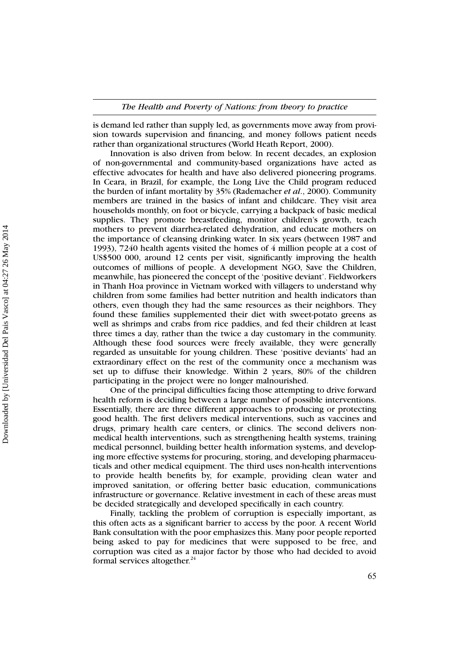is demand led rather than supply led, as governments move away from provision towards supervision and financing, and money follows patient needs rather than organizational structures (World Heath Report, 2000).

Innovation is also driven from below. In recent decades, an explosion of non-governmental and community-based organizations have acted as effective advocates for health and have also delivered pioneering programs. In Ceara, in Brazil, for example, the Long Live the Child program reduced the burden of infant mortality by 35% (Rademacher *et al*., 2000). Community members are trained in the basics of infant and childcare. They visit area households monthly, on foot or bicycle, carrying a backpack of basic medical supplies. They promote breastfeeding, monitor children's growth, teach mothers to prevent diarrhea-related dehydration, and educate mothers on the importance of cleansing drinking water. In six years (between 1987 and 1993), 7240 health agents visited the homes of 4 million people at a cost of US\$500 000, around 12 cents per visit, significantly improving the health outcomes of millions of people. A development NGO, Save the Children, meanwhile, has pioneered the concept of the 'positive deviant'. Fieldworkers in Thanh Hoa province in Vietnam worked with villagers to understand why children from some families had better nutrition and health indicators than others, even though they had the same resources as their neighbors. They found these families supplemented their diet with sweet-potato greens as well as shrimps and crabs from rice paddies, and fed their children at least three times a day, rather than the twice a day customary in the community. Although these food sources were freely available, they were generally regarded as unsuitable for young children. These 'positive deviants' had an extraordinary effect on the rest of the community once a mechanism was set up to diffuse their knowledge. Within 2 years, 80% of the children participating in the project were no longer malnourished.

One of the principal difficulties facing those attempting to drive forward health reform is deciding between a large number of possible interventions. Essentially, there are three different approaches to producing or protecting good health. The first delivers medical interventions, such as vaccines and drugs, primary health care centers, or clinics. The second delivers nonmedical health interventions, such as strengthening health systems, training medical personnel, building better health information systems, and developing more effective systems for procuring, storing, and developing pharmaceuticals and other medical equipment. The third uses non-health interventions to provide health benefits by, for example, providing clean water and improved sanitation, or offering better basic education, communications infrastructure or governance. Relative investment in each of these areas must be decided strategically and developed specifically in each country.

Finally, tackling the problem of corruption is especially important, as this often acts as a significant barrier to access by the poor. A recent World Bank consultation with the poor emphasizes this. Many poor people reported being asked to pay for medicines that were supposed to be free, and corruption was cited as a major factor by those who had decided to avoid formal services altogether. $24$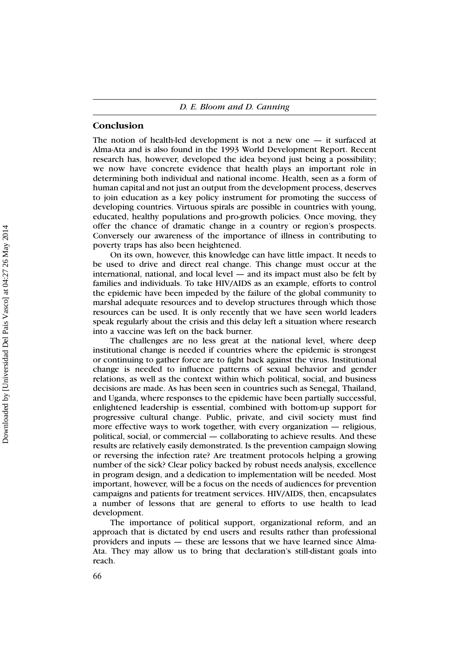#### **Conclusion**

The notion of health-led development is not a new one — it surfaced at Alma-Ata and is also found in the 1993 World Development Report. Recent research has, however, developed the idea beyond just being a possibility; we now have concrete evidence that health plays an important role in determining both individual and national income. Health, seen as a form of human capital and not just an output from the development process, deserves to join education as a key policy instrument for promoting the success of developing countries. Virtuous spirals are possible in countries with young, educated, healthy populations and pro-growth policies. Once moving, they offer the chance of dramatic change in a country or region's prospects. Conversely our awareness of the importance of illness in contributing to poverty traps has also been heightened.

On its own, however, this knowledge can have little impact. It needs to be used to drive and direct real change. This change must occur at the international, national, and local level — and its impact must also be felt by families and individuals. To take HIV/AIDS as an example, efforts to control the epidemic have been impeded by the failure of the global community to marshal adequate resources and to develop structures through which those resources can be used. It is only recently that we have seen world leaders speak regularly about the crisis and this delay left a situation where research into a vaccine was left on the back burner.

The challenges are no less great at the national level, where deep institutional change is needed if countries where the epidemic is strongest or continuing to gather force are to fight back against the virus. Institutional change is needed to influence patterns of sexual behavior and gender relations, as well as the context within which political, social, and business decisions are made. As has been seen in countries such as Senegal, Thailand, and Uganda, where responses to the epidemic have been partially successful, enlightened leadership is essential, combined with bottom-up support for progressive cultural change. Public, private, and civil society must find more effective ways to work together, with every organization — religious, political, social, or commercial — collaborating to achieve results. And these results are relatively easily demonstrated. Is the prevention campaign slowing or reversing the infection rate? Are treatment protocols helping a growing number of the sick? Clear policy backed by robust needs analysis, excellence in program design, and a dedication to implementation will be needed. Most important, however, will be a focus on the needs of audiences for prevention campaigns and patients for treatment services. HIV/AIDS, then, encapsulates a number of lessons that are general to efforts to use health to lead development.

The importance of political support, organizational reform, and an approach that is dictated by end users and results rather than professional providers and inputs — these are lessons that we have learned since Alma-Ata. They may allow us to bring that declaration's still-distant goals into reach.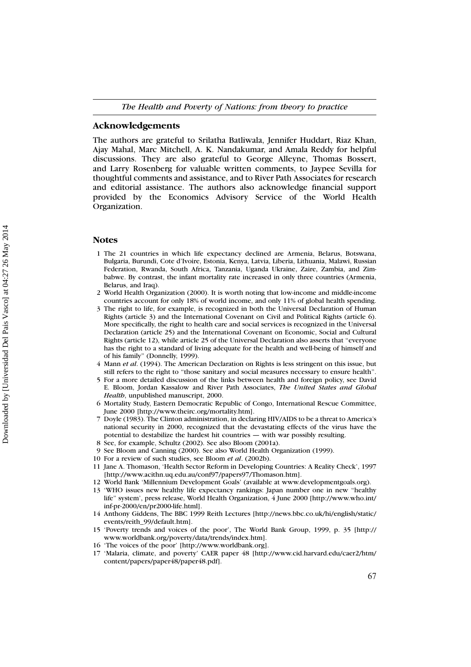*The Health and Poverty of Nations: from theory to practice*

#### **Acknowledgements**

The authors are grateful to Srilatha Batliwala, Jennifer Huddart, Riaz Khan, Ajay Mahal, Marc Mitchell, A. K. Nandakumar, and Amala Reddy for helpful discussions. They are also grateful to George Alleyne, Thomas Bossert, and Larry Rosenberg for valuable written comments, to Jaypee Sevilla for thoughtful comments and assistance, and to River Path Associates for research and editorial assistance. The authors also acknowledge financial support provided by the Economics Advisory Service of the World Health Organization.

#### **Notes**

- 1 The 21 countries in which life expectancy declined are Armenia, Belarus, Botswana, Bulgaria, Burundi, Cote d'Ivoire, Estonia, Kenya, Latvia, Liberia, Lithuania, Malawi, Russian Federation, Rwanda, South Africa, Tanzania, Uganda Ukraine, Zaire, Zambia, and Zimbabwe. By contrast, the infant mortality rate increased in only three countries (Armenia, Belarus, and Iraq).
- 2 World Health Organization (2000). It is worth noting that low-income and middle-income countries account for only 18% of world income, and only 11% of global health spending.
- 3 The right to life, for example, is recognized in both the Universal Declaration of Human Rights (article 3) and the International Covenant on Civil and Political Rights (article 6). More specifically, the right to health care and social services is recognized in the Universal Declaration (article 25) and the International Covenant on Economic, Social and Cultural Rights (article 12), while article 25 of the Universal Declaration also asserts that ''everyone has the right to a standard of living adequate for the health and well-being of himself and of his family'' (Donnelly, 1999).
- 4 Mann *et al*. (1994). The American Declaration on Rights is less stringent on this issue, but still refers to the right to ''those sanitary and social measures necessary to ensure health''.
- 5 For a more detailed discussion of the links between health and foreign policy, see David E. Bloom, Jordan Kassalow and River Path Associates, *The United States and Global Health*, unpublished manuscript, 2000.
- 6 Mortality Study, Eastern Democratic Republic of Congo, International Rescue Committee, June 2000 [http://www.theirc.org/mortality.htm].
- 7 Doyle (1983). The Clinton administration, in declaring HIV/AIDS to be a threat to America's national security in 2000, recognized that the devastating effects of the virus have the potential to destabilize the hardest hit countries — with war possibly resulting.
- 8 See, for example, Schultz (2002). See also Bloom (2001a).
- 9 See Bloom and Canning (2000). See also World Health Organization (1999).
- 10 For a review of such studies, see Bloom *et al*. (2002b).
- 11 Jane A. Thomason, 'Health Sector Reform in Developing Countries: A Reality Check', 1997 [http://www.acithn.uq.edu.au/conf97/papers97/Thomason.htm].
- 12 World Bank 'Millennium Development Goals' (available at www.developmentgoals.org).
- 13 'WHO issues new healthy life expectancy rankings: Japan number one in new ''healthy life'' system', press release, World Health Organization, 4 June 2000 [http://www.who.int/ inf-pr-2000/en/pr2000-life.html].
- 14 Anthony Giddens, The BBC 1999 Reith Lectures [http://news.bbc.co.uk/hi/english/static/ events/reith\_99/default.htm].
- 15 'Poverty trends and voices of the poor', The World Bank Group, 1999, p. 35 [http:// www.worldbank.org/poverty/data/trends/index.htm].
- 16 'The voices of the poor' [http://www.worldbank.org].
- 17 'Malaria, climate, and poverty' CAER paper 48 [http://www.cid.harvard.edu/caer2/htm/ content/papers/paper48/paper48.pdf].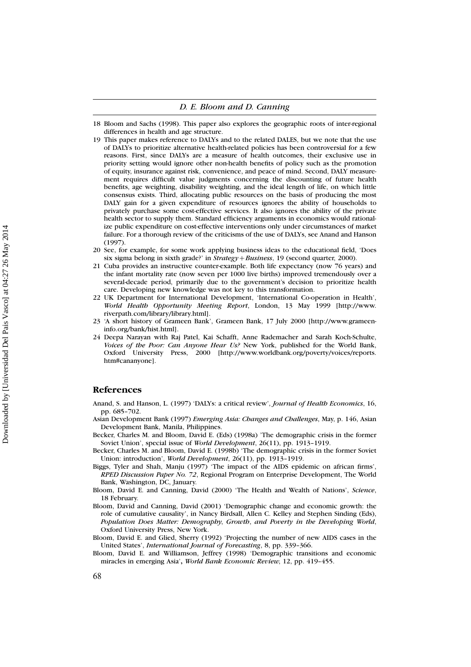- 18 Bloom and Sachs (1998). This paper also explores the geographic roots of inter-regional differences in health and age structure.
- 19 This paper makes reference to DALYs and to the related DALES, but we note that the use of DALYs to prioritize alternative health-related policies has been controversial for a few reasons. First, since DALYs are a measure of health outcomes, their exclusive use in priority setting would ignore other non-health benefits of policy such as the promotion of equity, insurance against risk, convenience, and peace of mind. Second, DALY measurement requires difficult value judgments concerning the discounting of future health benefits, age weighting, disability weighting, and the ideal length of life, on which little consensus exists. Third, allocating public resources on the basis of producing the most DALY gain for a given expenditure of resources ignores the ability of households to privately purchase some cost-effective services. It also ignores the ability of the private health sector to supply them. Standard efficiency arguments in economics would rationalize public expenditure on cost-effective interventions only under circumstances of market failure. For a thorough review of the criticisms of the use of DALYs, see Anand and Hanson (1997).
- 20 See, for example, for some work applying business ideas to the educational field, 'Does six sigma belong in sixth grade?' in *Strategy* + Business, 19 (second quarter, 2000).
- 21 Cuba provides an instructive counter-example. Both life expectancy (now 76 years) and the infant mortality rate (now seven per 1000 live births) improved tremendously over a several-decade period, primarily due to the government's decision to prioritize health care. Developing new knowledge was not key to this transformation.
- 22 UK Department for International Development, 'International Co-operation in Health', *World Health Opportunity Meeting Report*, London, 13 May 1999 [http://www. riverpath.com/library/library.html].
- 23 'A short history of Grameen Bank', Grameen Bank, 17 July 2000 [http://www.grameeninfo.org/bank/hist.html].
- 24 Deepa Narayan with Raj Patel, Kai Schafft, Anne Rademacher and Sarah Koch-Schulte, *Voices of the Poor: Can Anyone Hear Us?* New York, published for the World Bank, Oxford University Press, 2000 [http://www.worldbank.org/poverty/voices/reports. htm#cananyone].

#### **References**

- Anand, S. and Hanson, L. (1997) 'DALYs: a critical review', *Journal of Health Economics*, 16, pp. 685–702.
- Asian Development Bank (1997) *Emerging Asia: Changes and Challenges*, May, p. 146, Asian Development Bank, Manila, Philippines.
- Becker, Charles M. and Bloom, David E. (Eds) (1998a) 'The demographic crisis in the former Soviet Union', special issue of *World Development*, 26(11), pp. 1913–1919.
- Becker, Charles M. and Bloom, David E. (1998b) 'The demographic crisis in the former Soviet Union: introduction', *World Development*, 26(11), pp. 1913–1919.
- Biggs, Tyler and Shah, Manju (1997) 'The impact of the AIDS epidemic on african firms', *RPED Discussion Paper No. 72*, Regional Program on Enterprise Development, The World Bank, Washington, DC, January.
- Bloom, David E. and Canning, David (2000) 'The Health and Wealth of Nations', *Science*, 18 February.
- Bloom, David and Canning, David (2001) 'Demographic change and economic growth: the role of cumulative causality', in Nancy Birdsall, Allen C. Kelley and Stephen Sinding (Eds), *Population Does Matter: Demography*, *Growth*, *and Poverty in the Developing World*, Oxford University Press, New York.
- Bloom, David E. and Glied, Sherry (1992) 'Projecting the number of new AIDS cases in the United States', *International Journal of Forecasting*, 8, pp. 339–366.
- Bloom, David E. and Williamson, Jeffrey (1998) 'Demographic transitions and economic miracles in emerging Asia'**,** *World Bank Economic Review*, 12, pp. 419–455.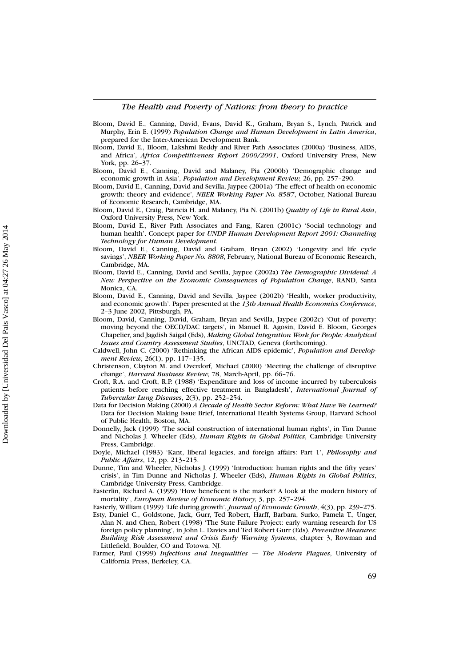- Bloom, David E., Canning, David, Evans, David K., Graham, Bryan S., Lynch, Patrick and Murphy, Erin E. (1999) *Population Change and Human Development in Latin America*, prepared for the Inter-American Development Bank.
- Bloom, David E., Bloom, Lakshmi Reddy and River Path Associates (2000a) 'Business, AIDS, and Africa', *Africa Competitiveness Report 2000/2001*, Oxford University Press, New York, pp. 26–37.
- Bloom, David E., Canning, David and Malaney, Pia (2000b) 'Demographic change and economic growth in Asia', *Population and Development Review*, 26, pp. 257–290.
- Bloom, David E., Canning, David and Sevilla, Jaypee (2001a) 'The effect of health on economic growth: theory and evidence', *NBER Working Paper No. 8587*, October, National Bureau of Economic Research, Cambridge, MA.
- Bloom, David E., Craig, Patricia H. and Malaney, Pia N. (2001b) *Quality of Life in Rural Asia*, Oxford University Press, New York.
- Bloom, David E., River Path Associates and Fang, Karen (2001c) 'Social technology and human health'. Concept paper for *UNDP Human Development Report 2001: Channeling Technology for Human Development*.
- Bloom, David E., Canning, David and Graham, Bryan (2002) 'Longevity and life cycle savings', *NBER Working Paper No. 8808*, February, National Bureau of Economic Research, Cambridge, MA.
- Bloom, David E., Canning, David and Sevilla, Jaypee (2002a) *The Demographic Dividend: A New Perspective on the Economic Consequences of Population Change*, RAND, Santa Monica, CA.
- Bloom, David E., Canning, David and Sevilla, Jaypee (2002b) 'Health, worker productivity, and economic growth'. Paper presented at the *13th Annual Health Economics Conference*, 2–3 June 2002, Pittsburgh, PA.
- Bloom, David, Canning, David, Graham, Bryan and Sevilla, Jaypee (2002c) 'Out of poverty: moving beyond the OECD/DAC targets', in Manuel R. Agosin, David E. Bloom, Georges Chapelier, and Jagdish Saigal (Eds), *Making Global Integration Work for People: Analytical Issues and Country Assessment Studies*, UNCTAD, Geneva (forthcoming).
- Caldwell, John C. (2000) 'Rethinking the African AIDS epidemic', *Population and Development Review*, 26(1), pp. 117–135.
- Christenson, Clayton M. and Overdorf, Michael (2000) 'Meeting the challenge of disruptive change', *Harvard Business Review*, 78, March-April, pp. 66–76.
- Croft, R.A. and Croft, R.P. (1988) 'Expenditure and loss of income incurred by tuberculosis patients before reaching effective treatment in Bangladesh', *International Journal of Tubercular Lung Diseases*, 2(3), pp. 252–254.
- Data for Decision Making (2000) *A Decade of Health Sector Reform: What Have We Learned?* Data for Decision Making Issue Brief, International Health Systems Group, Harvard School of Public Health, Boston, MA.
- Donnelly, Jack (1999) 'The social construction of international human rights', in Tim Dunne and Nicholas J. Wheeler (Eds), *Human Rights in Global Politics*, Cambridge University Press, Cambridge.
- Doyle, Michael (1983) 'Kant, liberal legacies, and foreign affairs: Part 1', *Philosophy and Public Affairs*, 12, pp. 213–215.
- Dunne, Tim and Wheeler, Nicholas J. (1999) 'Introduction: human rights and the fifty years' crisis', in Tim Dunne and Nicholas J. Wheeler (Eds), *Human Rights in Global Politics*, Cambridge University Press, Cambridge.
- Easterlin, Richard A. (1999) 'How beneficent is the market? A look at the modern history of mortality', *European Review of Economic History*, 3, pp. 257–294.
- Easterly, William (1999) 'Life during growth', *Journal of Economic Growth*, 4(3), pp. 239–275. Esty, Daniel C., Goldstone, Jack, Gurr, Ted Robert, Harff, Barbara, Surko, Pamela T., Unger,
- Alan N. and Chen, Robert (1998) 'The State Failure Project: early warning research for US foreign policy planning', in John L. Davies and Ted Robert Gurr (Eds), *Preventive Measures: Building Risk Assessment and Crisis Early Warning Systems*, chapter 3, Rowman and Littlefield, Boulder, CO and Totowa, NJ.
- Farmer, Paul (1999) *Infections and Inequalities The Modern Plagues*, University of California Press, Berkeley, CA.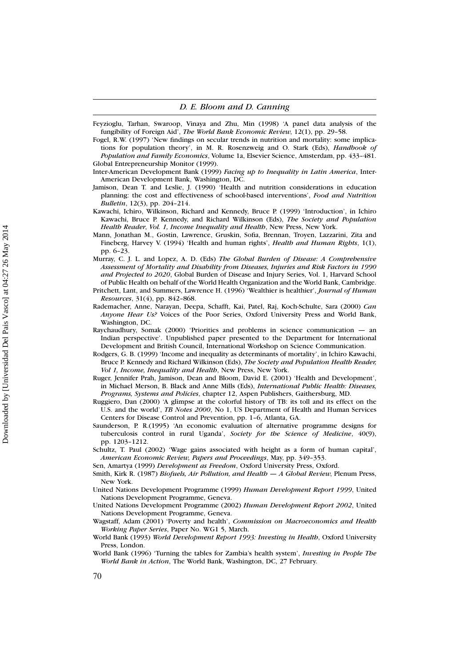Feyzioglu, Tarhan, Swaroop, Vinaya and Zhu, Min (1998) 'A panel data analysis of the fungibility of Foreign Aid', *The World Bank Economic Review*, 12(1), pp. 29–58.

Fogel, R.W. (1997) 'New findings on secular trends in nutrition and mortality: some implications for population theory', in M. R. Rosenzweig and O. Stark (Eds), *Handbook of Population and Family Economics*, Volume 1a, Elsevier Science, Amsterdam, pp. 433–481. Global Entrepreneurship Monitor (1999).

Inter-American Development Bank (1999) *Facing up to Inequality in Latin America*, Inter-American Development Bank, Washington, DC.

Jamison, Dean T. and Leslie, J. (1990) 'Health and nutrition considerations in education planning: the cost and effectiveness of school-based interventions', *Food and Nutrition Bulletin*, 12(3), pp. 204–214.

Kawachi, Ichiro, Wilkinson, Richard and Kennedy, Bruce P. (1999) 'Introduction', in Ichiro Kawachi, Bruce P. Kennedy, and Richard Wilkinson (Eds), *The Society and Population Health Reader*, *Vol. 1, Income Inequality and Health*, New Press, New York.

- Mann, Jonathan M., Gostin, Lawrence, Gruskin, Sofia, Brennan, Troyen, Lazzarini, Zita and Fineberg, Harvey V. (1994) 'Health and human rights', *Health and Human Rights*, 1(1), pp. 6–23.
- Murray, C. J. L. and Lopez, A. D. (Eds) *The Global Burden of Disease: A Comprehensive Assessment of Mortality and Disability from Diseases, Injuries and Risk Factors in 1990 and Projected to 2020*, Global Burden of Disease and Injury Series, Vol. 1, Harvard School of Public Health on behalf of the World Health Organization and the World Bank, Cambridge.

Pritchett, Lant, and Summers, Lawrence H. (1996) 'Wealthier is healthier', *Journal of Human Resources*, 31(4), pp. 842–868.

- Rademacher, Anne, Narayan, Deepa, Schafft, Kai, Patel, Raj, Koch-Schulte, Sara (2000) *Can Anyone Hear Us?* Voices of the Poor Series, Oxford University Press and World Bank, Washington, DC.
- Raychaudhury, Somak (2000) 'Priorities and problems in science communication  $-$  an Indian perspective'. Unpublished paper presented to the Department for International Development and British Council, International Workshop on Science Communication.
- Rodgers, G. B. (1999) 'Income and inequality as determinants of mortality', in Ichiro Kawachi, Bruce P. Kennedy and Richard Wilkinson (Eds), *The Society and Population Health Reader, Vol 1, Income, Inequality and Health*, New Press, New York.

Ruger, Jennifer Prah, Jamison, Dean and Bloom, David E. (2001) 'Health and Development', in Michael Merson, B. Black and Anne Mills (Eds), *International Public Health: Diseases, Programs, Systems and Policies*, chapter 12, Aspen Publishers, Gaithersburg, MD.

- Ruggiero, Dan (2000) 'A glimpse at the colorful history of TB: its toll and its effect on the U.S. and the world', *TB Notes 2000*, No 1, US Department of Health and Human Services Centers for Disease Control and Prevention, pp. 1–6, Atlanta, GA.
- Saunderson, P. R.(1995) 'An economic evaluation of alternative programme designs for tuberculosis control in rural Uganda', *Society for the Science of Medicine*, 40(9), pp. 1203–1212.
- Schultz, T. Paul (2002) 'Wage gains associated with height as a form of human capital', *American Economic Review, Papers and Proceedings*, May, pp. 349–353.

Sen, Amartya (1999) *Development as Freedom*, Oxford University Press, Oxford.

Smith, Kirk R. (1987) *Biofuels, Air Pollution, and Health — A Global Review*, Plenum Press, New York.

United Nations Development Programme (1999) *Human Development Report 1999*, United Nations Development Programme, Geneva.

United Nations Development Programme (2002) *Human Development Report 2002*, United Nations Development Programme, Geneva.

Wagstaff, Adam (2001) 'Poverty and health', *Commission on Macroeconomics and Health Working Paper Series*, Paper No. WG1 5, March.

World Bank (1993) *World Development Report 1993: Investing in Health*, Oxford University Press, London.

World Bank (1996) 'Turning the tables for Zambia's health system', *Investing in People The World Bank in Action*, The World Bank, Washington, DC, 27 February.